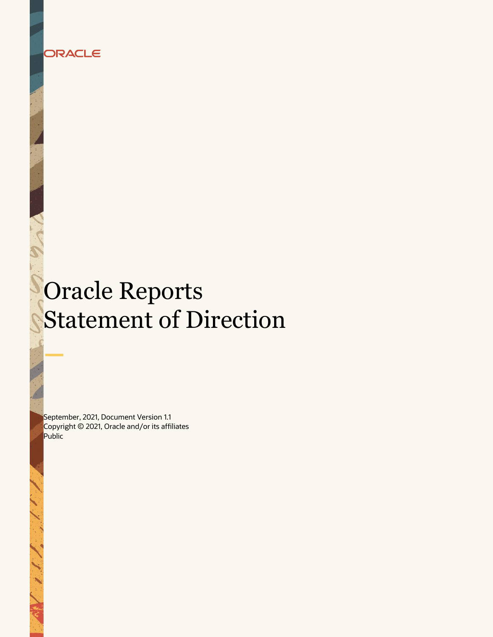

Statement of Direction

# Oracle Reports Statement of Direction

September, 2021, Document Version 1.1 Copyright © 2021, Oracle and/or its affiliates Public

**1 Statement of Direction -** Oracle **Reports /** Document Version 1.1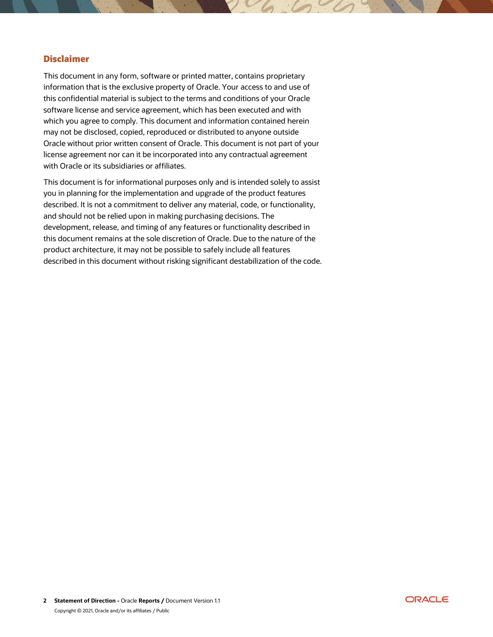# **Disclaimer**

This document in any form, software or printed matter, contains proprietary information that is the exclusive property of Oracle. Your access to and use of this confidential material is subject to the terms and conditions of your Oracle software license and service agreement, which has been executed and with which you agree to comply. This document and information contained herein may not be disclosed, copied, reproduced or distributed to anyone outside Oracle without prior written consent of Oracle. This document is not part of your license agreement nor can it be incorporated into any contractual agreement with Oracle or its subsidiaries or affiliates.

This document is for informational purposes only and is intended solely to assist you in planning for the implementation and upgrade of the product features described. It is not a commitment to deliver any material, code, or functionality, and should not be relied upon in making purchasing decisions. The development, release, and timing of any features or functionality described in this document remains at the sole discretion of Oracle. Due to the nature of the product architecture, it may not be possible to safely include all features described in this document without risking significant destabilization of the code.

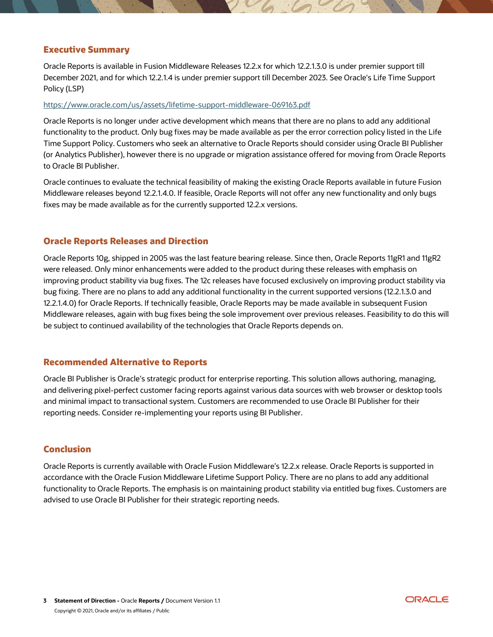# **Executive Summary**

Oracle Reports is available in Fusion Middleware Releases 12.2.x for which 12.2.1.3.0 is under premier support till December 2021, and for which 12.2.1.4 is under premier support till December 2023. See Oracle's Life Time Support Policy (LSP)

#### <https://www.oracle.com/us/assets/lifetime-support-middleware-069163.pdf>

Oracle Reports is no longer under active development which means that there are no plans to add any additional functionality to the product. Only bug fixes may be made available as per the error correction policy listed in the Life Time Support Policy. Customers who seek an alternative to Oracle Reports should consider using Oracle BI Publisher (or Analytics Publisher), however there is no upgrade or migration assistance offered for moving from Oracle Reports to Oracle BI Publisher.

Oracle continues to evaluate the technical feasibility of making the existing Oracle Reports available in future Fusion Middleware releases beyond 12.2.1.4.0. If feasible, Oracle Reports will not offer any new functionality and only bugs fixes may be made available as for the currently supported 12.2.x versions.

### **Oracle Reports Releases and Direction**

Oracle Reports 10g, shipped in 2005 was the last feature bearing release. Since then, Oracle Reports 11gR1 and 11gR2 were released. Only minor enhancements were added to the product during these releases with emphasis on improving product stability via bug fixes. The 12c releases have focused exclusively on improving product stability via bug fixing. There are no plans to add any additional functionality in the current supported versions (12.2.1.3.0 and 12.2.1.4.0) for Oracle Reports. If technically feasible, Oracle Reports may be made available in subsequent Fusion Middleware releases, again with bug fixes being the sole improvement over previous releases. Feasibility to do this will be subject to continued availability of the technologies that Oracle Reports depends on.

#### **Recommended Alternative to Reports**

Oracle BI Publisher is Oracle's strategic product for enterprise reporting. This solution allows authoring, managing, and delivering pixel-perfect customer facing reports against various data sources with web browser or desktop tools and minimal impact to transactional system. Customers are recommended to use Oracle BI Publisher for their reporting needs. Consider re-implementing your reports using BI Publisher.

# **Conclusion**

Oracle Reports is currently available with Oracle Fusion Middleware's 12.2.x release. Oracle Reports is supported in accordance with the Oracle Fusion Middleware Lifetime Support Policy. There are no plans to add any additional functionality to Oracle Reports. The emphasis is on maintaining product stability via entitled bug fixes. Customers are advised to use Oracle BI Publisher for their strategic reporting needs.